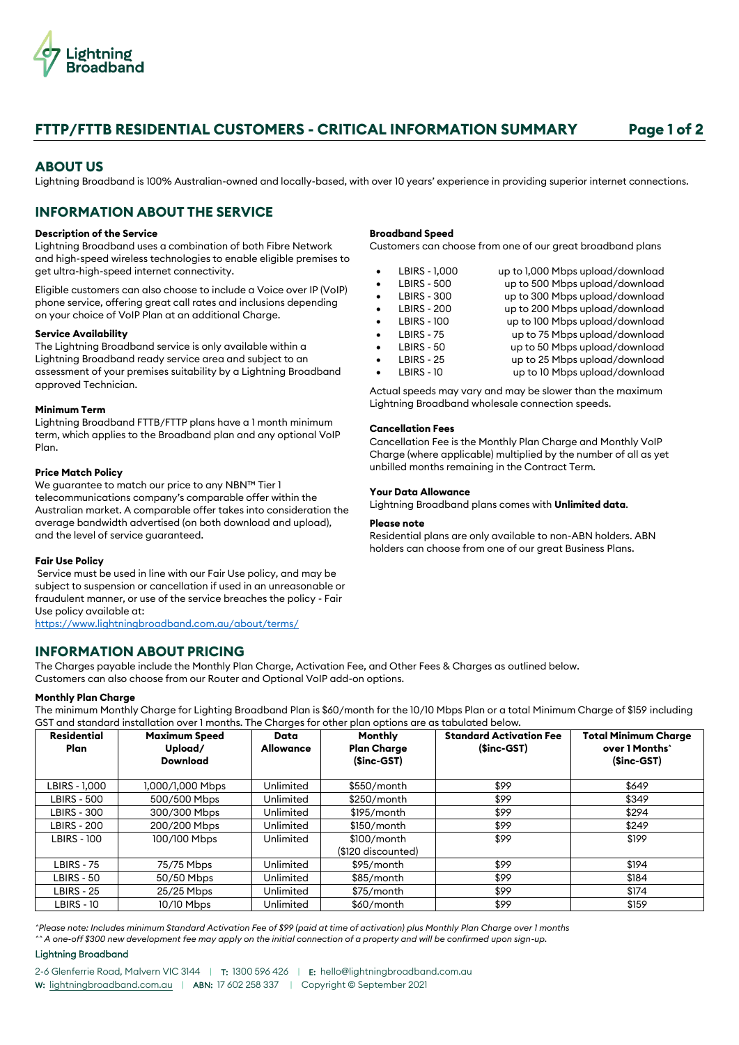

# **FTTP/FTTB RESIDENTIAL CUSTOMERS - CRITICAL INFORMATION SUMMARY Page 1 of 2**

# **ABOUT US**

Lightning Broadband is 100% Australian-owned and locally-based, with over 10 years' experience in providing superior internet connections.

# **INFORMATION ABOUT THE SERVICE**

# **Description of the Service**

Lightning Broadband uses a combination of both Fibre Network and high-speed wireless technologies to enable eligible premises to get ultra-high-speed internet connectivity.

Eligible customers can also choose to include a Voice over IP (VoIP) phone service, offering great call rates and inclusions depending on your choice of VoIP Plan at an additional Charge.

# **Service Availability**

The Lightning Broadband service is only available within a Lightning Broadband ready service area and subject to an assessment of your premises suitability by a Lightning Broadband approved Technician.

# **Minimum Term**

Lightning Broadband FTTB/FTTP plans have a 1 month minimum term, which applies to the Broadband plan and any optional VoIP Plan.

# **Price Match Policy**

We guarantee to match our price to any NBN™ Tier 1 telecommunications company's comparable offer within the Australian market. A comparable offer takes into consideration the average bandwidth advertised (on both download and upload), and the level of service guaranteed.

# **Fair Use Policy**

Service must be used in line with our Fair Use policy, and may be subject to suspension or cancellation if used in an unreasonable or fraudulent manner, or use of the service breaches the policy - Fair Use policy available at:

<https://www.lightningbroadband.com.au/about/terms/>

# **INFORMATION ABOUT PRICING**

The Charges payable include the Monthly Plan Charge, Activation Fee, and Other Fees & Charges as outlined below. Customers can also choose from our Router and Optional VoIP add-on options.

### **Monthly Plan Charge**

The minimum Monthly Charge for Lighting Broadband Plan is \$60/month for the 10/10 Mbps Plan or a total Minimum Charge of \$159 including GST and standard installation over 1 months. The Charges for other plan options are as tabulated below.

| <b>Residential</b><br><b>Plan</b> | <b>Maximum Speed</b><br>Upload/<br><b>Download</b> | Data<br><b>Allowance</b> | Monthly<br><b>Plan Charge</b><br>$(Sinc-GST)$ | <b>Standard Activation Fee</b><br>$(Sinc-GST)$ | <b>Total Minimum Charge</b><br>over 1 Months <sup>*</sup><br>$(Sinc-GST)$ |
|-----------------------------------|----------------------------------------------------|--------------------------|-----------------------------------------------|------------------------------------------------|---------------------------------------------------------------------------|
| LBIRS - 1,000                     | 1,000/1,000 Mbps                                   | Unlimited                | \$550/month                                   | \$99                                           | \$649                                                                     |
| LBIRS - 500                       | 500/500 Mbps                                       | Unlimited                | \$250/month                                   | \$99                                           | \$349                                                                     |
| <b>LBIRS - 300</b>                | 300/300 Mbps                                       | Unlimited                | $$195/m$ onth                                 | \$99                                           | \$294                                                                     |
| <b>LBIRS - 200</b>                | 200/200 Mbps                                       | Unlimited                | \$150/month                                   | \$99                                           | \$249                                                                     |
| <b>LBIRS - 100</b>                | 100/100 Mbps                                       | Unlimited                | $$100/m$ onth<br>(\$120 discounted)           | \$99                                           | \$199                                                                     |
| LBIRS - 75                        | 75/75 Mbps                                         | Unlimited                | \$95/month                                    | \$99                                           | \$194                                                                     |
| LBIRS - 50                        | 50/50 Mbps                                         | Unlimited                | \$85/month                                    | \$99                                           | \$184                                                                     |
| <b>LBIRS - 25</b>                 | 25/25 Mbps                                         | Unlimited                | \$75/month                                    | \$99                                           | \$174                                                                     |
| <b>LBIRS - 10</b>                 | 10/10 Mbps                                         | Unlimited                | \$60/month                                    | \$99                                           | \$159                                                                     |

*^Please note: Includes minimum Standard Activation Fee of \$99 (paid at time of activation) plus Monthly Plan Charge over 1 months ^^ A one-off \$300 new development fee may apply on the initial connection of a property and will be confirmed upon sign-up.*

### Lightning Broadband

2-6 Glenferrie Road, Malvern VIC 3144 | T: 1300 596 426 | E: [hello@lightningbroadband.com.au](mailto:hello@lightningbroadband.com.au) W: [lightningbroadband.com.au](https://www.lightningbroadband.com.au/) | ABN: 17 602 258 337 | Copyright © September 2021

#### **Broadband Speed**

Customers can choose from one of our great broadband plans

|           | LBIRS - 1,000      | up to 1,000 Mbps upload/download |
|-----------|--------------------|----------------------------------|
| $\bullet$ | <b>LBIRS - 500</b> | up to 500 Mbps upload/download   |
| $\bullet$ | <b>LBIRS - 300</b> | up to 300 Mbps upload/download   |
| $\bullet$ | <b>LBIRS - 200</b> | up to 200 Mbps upload/download   |
| $\bullet$ | <b>LBIRS - 100</b> | up to 100 Mbps upload/download   |
| $\bullet$ | <b>LBIRS - 75</b>  | up to 75 Mbps upload/download    |
| $\bullet$ | <b>LBIRS - 50</b>  | up to 50 Mbps upload/download    |
| $\bullet$ | <b>LBIRS - 25</b>  | up to 25 Mbps upload/download    |
|           | <b>LBIRS - 10</b>  | up to 10 Mbps upload/download    |
|           |                    |                                  |

Actual speeds may vary and may be slower than the maximum Lightning Broadband wholesale connection speeds.

### **Cancellation Fees**

Cancellation Fee is the Monthly Plan Charge and Monthly VoIP Charge (where applicable) multiplied by the number of all as yet unbilled months remaining in the Contract Term.

# **Your Data Allowance**

Lightning Broadband plans comes with **Unlimited data**.

#### **Please note**

Residential plans are only available to non-ABN holders. ABN holders can choose from one of our great Business Plans.